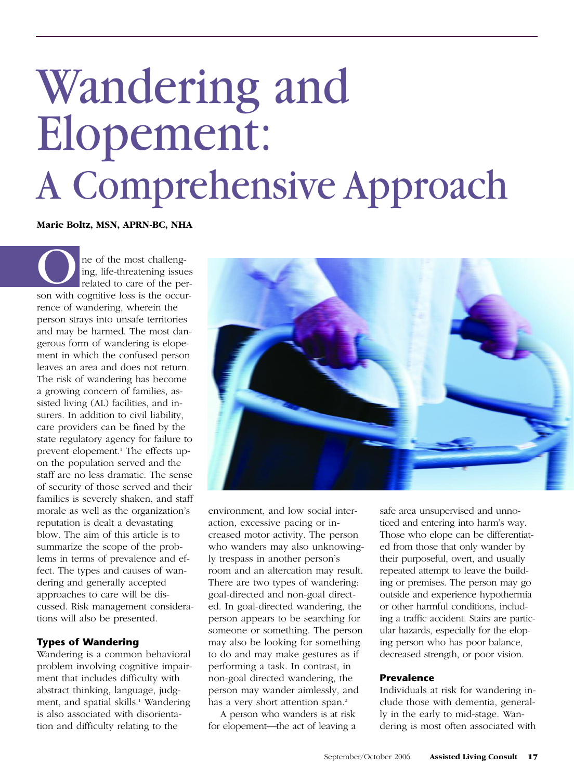# Wandering and Elopement: A Comprehensive Approach

**Marie Boltz, MSN, APRN-BC, NHA**

**O**<br>
In the most challenging, life-threatening issues<br>
related to care of the person with cognitive loss is the occuring, life-threatening issues related to care of the perrence of wandering, wherein the person strays into unsafe territories and may be harmed. The most dangerous form of wandering is elopement in which the confused person leaves an area and does not return. The risk of wandering has become a growing concern of families, assisted living (AL) facilities, and insurers. In addition to civil liability, care providers can be fined by the state regulatory agency for failure to prevent elopement.<sup>1</sup> The effects upon the population served and the staff are no less dramatic. The sense of security of those served and their families is severely shaken, and staff morale as well as the organization's reputation is dealt a devastating blow. The aim of this article is to summarize the scope of the problems in terms of prevalence and effect. The types and causes of wandering and generally accepted approaches to care will be discussed. Risk management considerations will also be presented.

#### **Types of Wandering**

Wandering is a common behavioral problem involving cognitive impairment that includes difficulty with abstract thinking, language, judgment, and spatial skills.<sup>1</sup> Wandering is also associated with disorientation and difficulty relating to the



environment, and low social interaction, excessive pacing or increased motor activity. The person who wanders may also unknowingly trespass in another person's room and an altercation may result. There are two types of wandering: goal-directed and non-goal directed. In goal-directed wandering, the person appears to be searching for someone or something. The person may also be looking for something to do and may make gestures as if performing a task. In contrast, in non-goal directed wandering, the person may wander aimlessly, and has a very short attention span.<sup>2</sup>

A person who wanders is at risk for elopement—the act of leaving a safe area unsupervised and unnoticed and entering into harm's way. Those who elope can be differentiated from those that only wander by their purposeful, overt, and usually repeated attempt to leave the building or premises. The person may go outside and experience hypothermia or other harmful conditions, including a traffic accident. Stairs are particular hazards, especially for the eloping person who has poor balance, decreased strength, or poor vision.

#### **Prevalence**

Individuals at risk for wandering include those with dementia, generally in the early to mid-stage. Wandering is most often associated with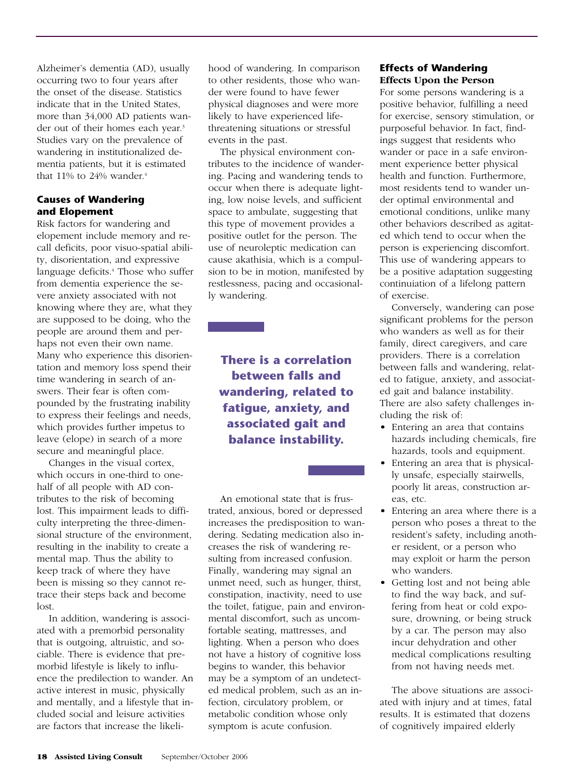Alzheimer's dementia (AD), usually occurring two to four years after the onset of the disease. Statistics indicate that in the United States, more than 34,000 AD patients wander out of their homes each year.<sup>3</sup> Studies vary on the prevalence of wandering in institutionalized dementia patients, but it is estimated that  $11\%$  to  $24\%$  wander.<sup>4</sup>

## **Causes of Wandering and Elopement**

Risk factors for wandering and elopement include memory and recall deficits, poor visuo-spatial ability, disorientation, and expressive language deficits.<sup>4</sup> Those who suffer from dementia experience the severe anxiety associated with not knowing where they are, what they are supposed to be doing, who the people are around them and perhaps not even their own name. Many who experience this disorientation and memory loss spend their time wandering in search of answers. Their fear is often compounded by the frustrating inability to express their feelings and needs, which provides further impetus to leave (elope) in search of a more secure and meaningful place.

Changes in the visual cortex, which occurs in one-third to onehalf of all people with AD contributes to the risk of becoming lost. This impairment leads to difficulty interpreting the three-dimensional structure of the environment, resulting in the inability to create a mental map. Thus the ability to keep track of where they have been is missing so they cannot retrace their steps back and become lost.

In addition, wandering is associated with a premorbid personality that is outgoing, altruistic, and sociable. There is evidence that premorbid lifestyle is likely to influence the predilection to wander. An active interest in music, physically and mentally, and a lifestyle that included social and leisure activities are factors that increase the likelihood of wandering. In comparison to other residents, those who wander were found to have fewer physical diagnoses and were more likely to have experienced lifethreatening situations or stressful events in the past.

The physical environment contributes to the incidence of wandering. Pacing and wandering tends to occur when there is adequate lighting, low noise levels, and sufficient space to ambulate, suggesting that this type of movement provides a positive outlet for the person. The use of neuroleptic medication can cause akathisia, which is a compulsion to be in motion, manifested by restlessness, pacing and occasionally wandering.

**There is a correlation between falls and wandering, related to fatigue, anxiety, and associated gait and balance instability.** 

An emotional state that is frustrated, anxious, bored or depressed increases the predisposition to wandering. Sedating medication also increases the risk of wandering resulting from increased confusion. Finally, wandering may signal an unmet need, such as hunger, thirst, constipation, inactivity, need to use the toilet, fatigue, pain and environmental discomfort, such as uncomfortable seating, mattresses, and lighting. When a person who does not have a history of cognitive loss begins to wander, this behavior may be a symptom of an undetected medical problem, such as an infection, circulatory problem, or metabolic condition whose only symptom is acute confusion.

# **Effects of Wandering Effects Upon the Person**

For some persons wandering is a positive behavior, fulfilling a need for exercise, sensory stimulation, or purposeful behavior. In fact, findings suggest that residents who wander or pace in a safe environment experience better physical health and function. Furthermore, most residents tend to wander under optimal environmental and emotional conditions, unlike many other behaviors described as agitated which tend to occur when the person is experiencing discomfort. This use of wandering appears to be a positive adaptation suggesting continuiation of a lifelong pattern of exercise.

Conversely, wandering can pose significant problems for the person who wanders as well as for their family, direct caregivers, and care providers. There is a correlation between falls and wandering, related to fatigue, anxiety, and associated gait and balance instability. There are also safety challenges including the risk of:

- Entering an area that contains hazards including chemicals, fire hazards, tools and equipment.
- Entering an area that is physically unsafe, especially stairwells, poorly lit areas, construction areas, etc.
- Entering an area where there is a person who poses a threat to the resident's safety, including another resident, or a person who may exploit or harm the person who wanders.
- Getting lost and not being able to find the way back, and suffering from heat or cold exposure, drowning, or being struck by a car. The person may also incur dehydration and other medical complications resulting from not having needs met.

The above situations are associated with injury and at times, fatal results. It is estimated that dozens of cognitively impaired elderly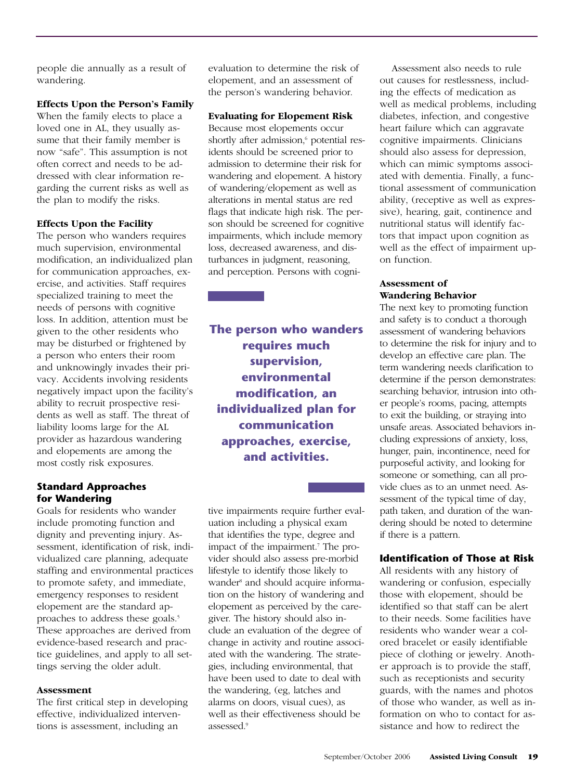people die annually as a result of wandering.

# **Effects Upon the Person's Family**

When the family elects to place a loved one in AL, they usually assume that their family member is now "safe". This assumption is not often correct and needs to be addressed with clear information regarding the current risks as well as the plan to modify the risks.

#### **Effects Upon the Facility**

The person who wanders requires much supervision, environmental modification, an individualized plan for communication approaches, exercise, and activities. Staff requires specialized training to meet the needs of persons with cognitive loss. In addition, attention must be given to the other residents who may be disturbed or frightened by a person who enters their room and unknowingly invades their privacy. Accidents involving residents negatively impact upon the facility's ability to recruit prospective residents as well as staff. The threat of liability looms large for the AL provider as hazardous wandering and elopements are among the most costly risk exposures.

## **Standard Approaches for Wandering**

Goals for residents who wander include promoting function and dignity and preventing injury. Assessment, identification of risk, individualized care planning, adequate staffing and environmental practices to promote safety, and immediate, emergency responses to resident elopement are the standard approaches to address these goals.5 These approaches are derived from evidence-based research and practice guidelines, and apply to all settings serving the older adult.

#### **Assessment**

The first critical step in developing effective, individualized interventions is assessment, including an

evaluation to determine the risk of elopement, and an assessment of the person's wandering behavior.

#### **Evaluating for Elopement Risk**

Because most elopements occur shortly after admission,<sup>6</sup> potential residents should be screened prior to admission to determine their risk for wandering and elopement. A history of wandering/elopement as well as alterations in mental status are red flags that indicate high risk. The person should be screened for cognitive impairments, which include memory loss, decreased awareness, and disturbances in judgment, reasoning, and perception. Persons with cogni-

**The person who wanders requires much supervision, environmental modification, an individualized plan for communication approaches, exercise, and activities.** 

tive impairments require further evaluation including a physical exam that identifies the type, degree and impact of the impairment.7 The provider should also assess pre-morbid lifestyle to identify those likely to wander<sup>8</sup> and should acquire information on the history of wandering and elopement as perceived by the caregiver. The history should also include an evaluation of the degree of change in activity and routine associated with the wandering. The strategies, including environmental, that have been used to date to deal with the wandering, (eg, latches and alarms on doors, visual cues), as well as their effectiveness should be assessed.9

Assessment also needs to rule out causes for restlessness, including the effects of medication as well as medical problems, including diabetes, infection, and congestive heart failure which can aggravate cognitive impairments. Clinicians should also assess for depression, which can mimic symptoms associated with dementia. Finally, a functional assessment of communication ability, (receptive as well as expressive), hearing, gait, continence and nutritional status will identify factors that impact upon cognition as well as the effect of impairment upon function.

#### **Assessment of Wandering Behavior**

The next key to promoting function and safety is to conduct a thorough assessment of wandering behaviors to determine the risk for injury and to develop an effective care plan. The term wandering needs clarification to determine if the person demonstrates: searching behavior, intrusion into other people's rooms, pacing, attempts to exit the building, or straying into unsafe areas. Associated behaviors including expressions of anxiety, loss, hunger, pain, incontinence, need for purposeful activity, and looking for someone or something, can all provide clues as to an unmet need. Assessment of the typical time of day, path taken, and duration of the wandering should be noted to determine if there is a pattern.

#### **Identification of Those at Risk**

All residents with any history of wandering or confusion, especially those with elopement, should be identified so that staff can be alert to their needs. Some facilities have residents who wander wear a colored bracelet or easily identifiable piece of clothing or jewelry. Another approach is to provide the staff, such as receptionists and security guards, with the names and photos of those who wander, as well as information on who to contact for assistance and how to redirect the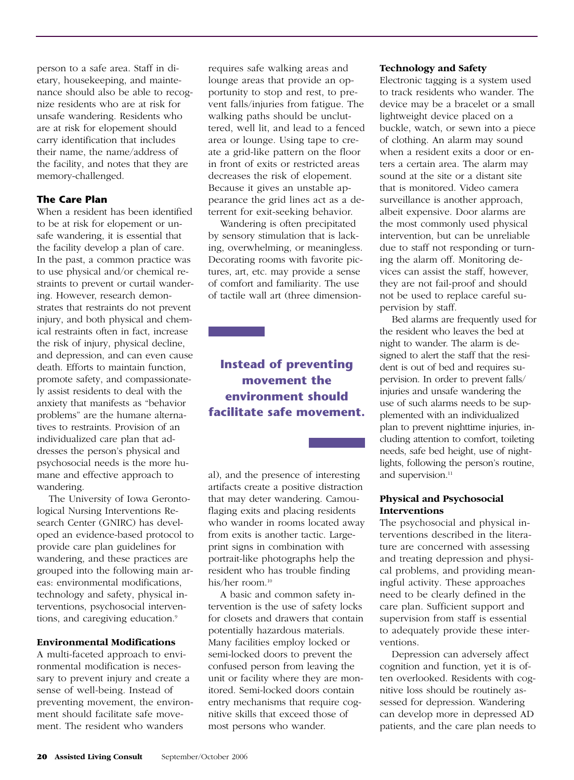person to a safe area. Staff in dietary, housekeeping, and maintenance should also be able to recognize residents who are at risk for unsafe wandering. Residents who are at risk for elopement should carry identification that includes their name, the name/address of the facility, and notes that they are memory-challenged.

#### **The Care Plan**

When a resident has been identified to be at risk for elopement or unsafe wandering, it is essential that the facility develop a plan of care. In the past, a common practice was to use physical and/or chemical restraints to prevent or curtail wandering. However, research demonstrates that restraints do not prevent injury, and both physical and chemical restraints often in fact, increase the risk of injury, physical decline, and depression, and can even cause death. Efforts to maintain function, promote safety, and compassionately assist residents to deal with the anxiety that manifests as "behavior problems" are the humane alternatives to restraints. Provision of an individualized care plan that addresses the person's physical and psychosocial needs is the more humane and effective approach to wandering.

The University of Iowa Gerontological Nursing Interventions Research Center (GNIRC) has developed an evidence-based protocol to provide care plan guidelines for wandering, and these practices are grouped into the following main areas: environmental modifications, technology and safety, physical interventions, psychosocial interventions, and caregiving education.<sup>9</sup>

#### **Environmental Modifications**

A multi-faceted approach to environmental modification is necessary to prevent injury and create a sense of well-being. Instead of preventing movement, the environment should facilitate safe movement. The resident who wanders

requires safe walking areas and lounge areas that provide an opportunity to stop and rest, to prevent falls/injuries from fatigue. The walking paths should be uncluttered, well lit, and lead to a fenced area or lounge. Using tape to create a grid-like pattern on the floor in front of exits or restricted areas decreases the risk of elopement. Because it gives an unstable appearance the grid lines act as a deterrent for exit-seeking behavior.

Wandering is often precipitated by sensory stimulation that is lacking, overwhelming, or meaningless. Decorating rooms with favorite pictures, art, etc. may provide a sense of comfort and familiarity. The use of tactile wall art (three dimension-

# **Instead of preventing movement the environment should facilitate safe movement.**

al), and the presence of interesting artifacts create a positive distraction that may deter wandering. Camouflaging exits and placing residents who wander in rooms located away from exits is another tactic. Largeprint signs in combination with portrait-like photographs help the resident who has trouble finding his/her room.<sup>10</sup>

A basic and common safety intervention is the use of safety locks for closets and drawers that contain potentially hazardous materials. Many facilities employ locked or semi-locked doors to prevent the confused person from leaving the unit or facility where they are monitored. Semi-locked doors contain entry mechanisms that require cognitive skills that exceed those of most persons who wander.

#### **Technology and Safety**

Electronic tagging is a system used to track residents who wander. The device may be a bracelet or a small lightweight device placed on a buckle, watch, or sewn into a piece of clothing. An alarm may sound when a resident exits a door or enters a certain area. The alarm may sound at the site or a distant site that is monitored. Video camera surveillance is another approach, albeit expensive. Door alarms are the most commonly used physical intervention, but can be unreliable due to staff not responding or turning the alarm off. Monitoring devices can assist the staff, however, they are not fail-proof and should not be used to replace careful supervision by staff.

Bed alarms are frequently used for the resident who leaves the bed at night to wander. The alarm is designed to alert the staff that the resident is out of bed and requires supervision. In order to prevent falls/ injuries and unsafe wandering the use of such alarms needs to be supplemented with an individualized plan to prevent nighttime injuries, including attention to comfort, toileting needs, safe bed height, use of nightlights, following the person's routine, and supervision.<sup>11</sup>

#### **Physical and Psychosocial Interventions**

The psychosocial and physical interventions described in the literature are concerned with assessing and treating depression and physical problems, and providing meaningful activity. These approaches need to be clearly defined in the care plan. Sufficient support and supervision from staff is essential to adequately provide these interventions.

Depression can adversely affect cognition and function, yet it is often overlooked. Residents with cognitive loss should be routinely assessed for depression. Wandering can develop more in depressed AD patients, and the care plan needs to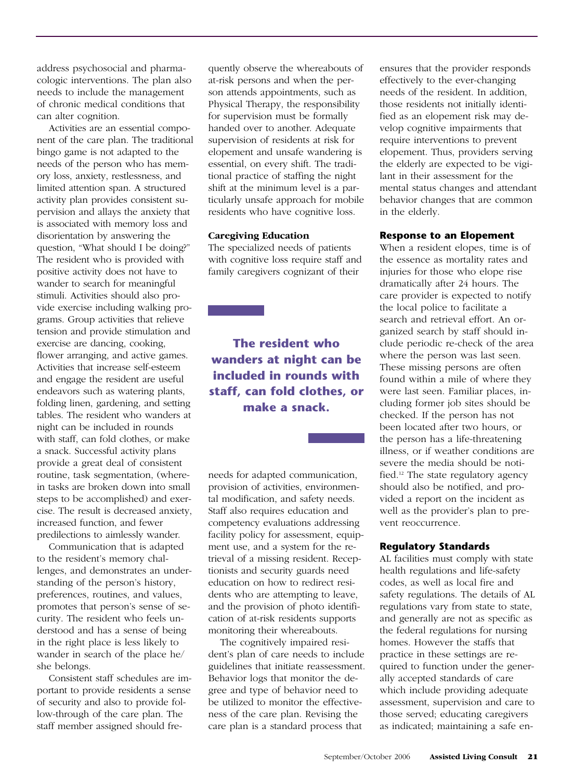address psychosocial and pharmacologic interventions. The plan also needs to include the management of chronic medical conditions that can alter cognition.

Activities are an essential component of the care plan. The traditional bingo game is not adapted to the needs of the person who has memory loss, anxiety, restlessness, and limited attention span. A structured activity plan provides consistent supervision and allays the anxiety that is associated with memory loss and disorientation by answering the question, "What should I be doing?" The resident who is provided with positive activity does not have to wander to search for meaningful stimuli. Activities should also provide exercise including walking programs. Group activities that relieve tension and provide stimulation and exercise are dancing, cooking, flower arranging, and active games. Activities that increase self-esteem and engage the resident are useful endeavors such as watering plants, folding linen, gardening, and setting tables. The resident who wanders at night can be included in rounds with staff, can fold clothes, or make a snack. Successful activity plans provide a great deal of consistent routine, task segmentation, (wherein tasks are broken down into small steps to be accomplished) and exercise. The result is decreased anxiety, increased function, and fewer predilections to aimlessly wander.

Communication that is adapted to the resident's memory challenges, and demonstrates an understanding of the person's history, preferences, routines, and values, promotes that person's sense of security. The resident who feels understood and has a sense of being in the right place is less likely to wander in search of the place he/ she belongs.

Consistent staff schedules are important to provide residents a sense of security and also to provide follow-through of the care plan. The staff member assigned should fre-

quently observe the whereabouts of at-risk persons and when the person attends appointments, such as Physical Therapy, the responsibility for supervision must be formally handed over to another. Adequate supervision of residents at risk for elopement and unsafe wandering is essential, on every shift. The traditional practice of staffing the night shift at the minimum level is a particularly unsafe approach for mobile residents who have cognitive loss.

#### **Caregiving Education**

The specialized needs of patients with cognitive loss require staff and family caregivers cognizant of their

**The resident who wanders at night can be included in rounds with staff, can fold clothes, or make a snack.** 

needs for adapted communication, provision of activities, environmental modification, and safety needs. Staff also requires education and competency evaluations addressing facility policy for assessment, equipment use, and a system for the retrieval of a missing resident. Receptionists and security guards need education on how to redirect residents who are attempting to leave, and the provision of photo identification of at-risk residents supports monitoring their whereabouts.

The cognitively impaired resident's plan of care needs to include guidelines that initiate reassessment. Behavior logs that monitor the degree and type of behavior need to be utilized to monitor the effectiveness of the care plan. Revising the care plan is a standard process that

ensures that the provider responds effectively to the ever-changing needs of the resident. In addition, those residents not initially identified as an elopement risk may develop cognitive impairments that require interventions to prevent elopement. Thus, providers serving the elderly are expected to be vigilant in their assessment for the mental status changes and attendant behavior changes that are common in the elderly.

#### **Response to an Elopement**

When a resident elopes, time is of the essence as mortality rates and injuries for those who elope rise dramatically after 24 hours. The care provider is expected to notify the local police to facilitate a search and retrieval effort. An organized search by staff should include periodic re-check of the area where the person was last seen. These missing persons are often found within a mile of where they were last seen. Familiar places, including former job sites should be checked. If the person has not been located after two hours, or the person has a life-threatening illness, or if weather conditions are severe the media should be notified.12 The state regulatory agency should also be notified, and provided a report on the incident as well as the provider's plan to prevent reoccurrence.

#### **Regulatory Standards**

AL facilities must comply with state health regulations and life-safety codes, as well as local fire and safety regulations. The details of AL regulations vary from state to state, and generally are not as specific as the federal regulations for nursing homes. However the staffs that practice in these settings are required to function under the generally accepted standards of care which include providing adequate assessment, supervision and care to those served; educating caregivers as indicated; maintaining a safe en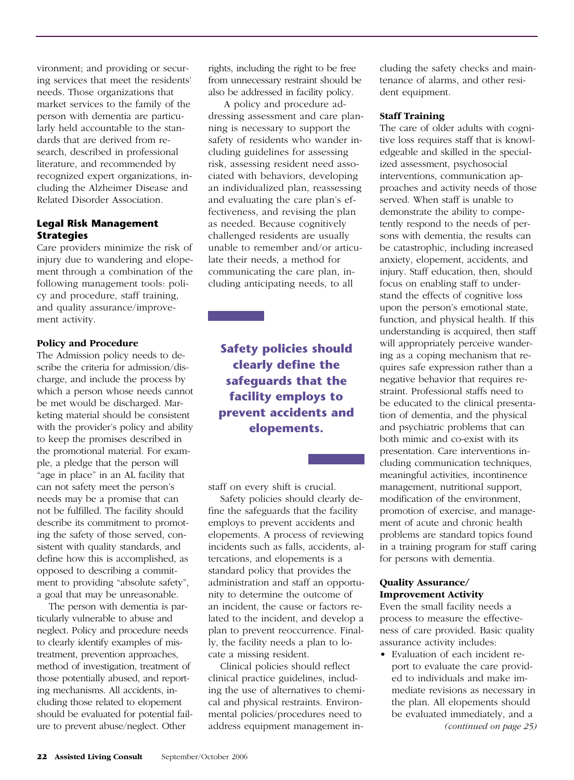vironment; and providing or securing services that meet the residents' needs. Those organizations that market services to the family of the person with dementia are particularly held accountable to the standards that are derived from research, described in professional literature, and recommended by recognized expert organizations, including the Alzheimer Disease and Related Disorder Association.

# **Legal Risk Management Strategies**

Care providers minimize the risk of injury due to wandering and elopement through a combination of the following management tools: policy and procedure, staff training, and quality assurance/improvement activity.

#### **Policy and Procedure**

The Admission policy needs to describe the criteria for admission/discharge, and include the process by which a person whose needs cannot be met would be discharged. Marketing material should be consistent with the provider's policy and ability to keep the promises described in the promotional material. For example, a pledge that the person will "age in place" in an AL facility that can not safety meet the person's needs may be a promise that can not be fulfilled. The facility should describe its commitment to promoting the safety of those served, consistent with quality standards, and define how this is accomplished, as opposed to describing a commitment to providing "absolute safety", a goal that may be unreasonable.

The person with dementia is particularly vulnerable to abuse and neglect. Policy and procedure needs to clearly identify examples of mistreatment, prevention approaches, method of investigation, treatment of those potentially abused, and reporting mechanisms. All accidents, including those related to elopement should be evaluated for potential failure to prevent abuse/neglect. Other

rights, including the right to be free from unnecessary restraint should be also be addressed in facility policy.

A policy and procedure addressing assessment and care planning is necessary to support the safety of residents who wander including guidelines for assessing risk, assessing resident need associated with behaviors, developing an individualized plan, reassessing and evaluating the care plan's effectiveness, and revising the plan as needed. Because cognitively challenged residents are usually unable to remember and/or articulate their needs, a method for communicating the care plan, including anticipating needs, to all

# **Safety policies should clearly define the safeguards that the facility employs to prevent accidents and elopements.**

staff on every shift is crucial.

Safety policies should clearly define the safeguards that the facility employs to prevent accidents and elopements. A process of reviewing incidents such as falls, accidents, altercations, and elopements is a standard policy that provides the administration and staff an opportunity to determine the outcome of an incident, the cause or factors related to the incident, and develop a plan to prevent reoccurrence. Finally, the facility needs a plan to locate a missing resident.

Clinical policies should reflect clinical practice guidelines, including the use of alternatives to chemical and physical restraints. Environmental policies/procedures need to address equipment management including the safety checks and maintenance of alarms, and other resident equipment.

# **Staff Training**

The care of older adults with cognitive loss requires staff that is knowledgeable and skilled in the specialized assessment, psychosocial interventions, communication approaches and activity needs of those served. When staff is unable to demonstrate the ability to competently respond to the needs of persons with dementia, the results can be catastrophic, including increased anxiety, elopement, accidents, and injury. Staff education, then, should focus on enabling staff to understand the effects of cognitive loss upon the person's emotional state, function, and physical health. If this understanding is acquired, then staff will appropriately perceive wandering as a coping mechanism that requires safe expression rather than a negative behavior that requires restraint. Professional staffs need to be educated to the clinical presentation of dementia, and the physical and psychiatric problems that can both mimic and co-exist with its presentation. Care interventions including communication techniques, meaningful activities, incontinence management, nutritional support, modification of the environment, promotion of exercise, and management of acute and chronic health problems are standard topics found in a training program for staff caring for persons with dementia.

# **Quality Assurance/ Improvement Activity**

Even the small facility needs a process to measure the effectiveness of care provided. Basic quality assurance activity includes:

• Evaluation of each incident report to evaluate the care provided to individuals and make immediate revisions as necessary in the plan. All elopements should be evaluated immediately, and a *(continued on page 25)*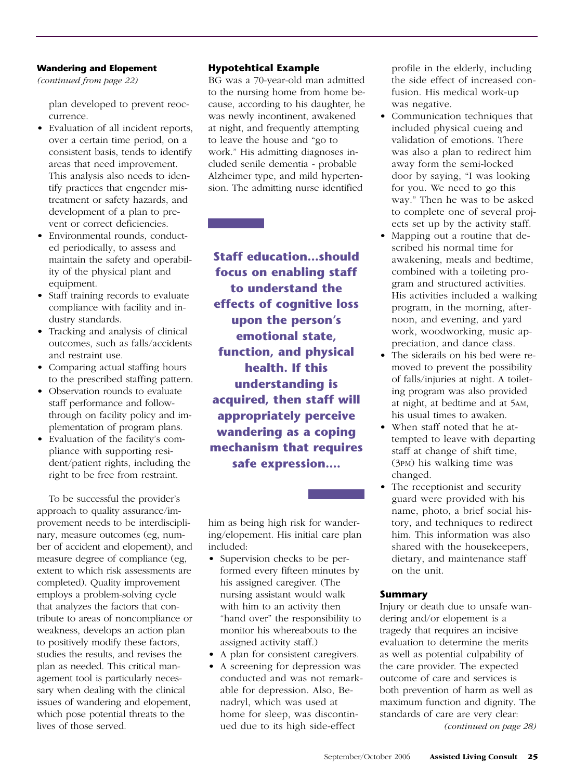#### **Wandering and Elopement**

*(continued from page 22)*

plan developed to prevent reoccurrence.

- Evaluation of all incident reports, over a certain time period, on a consistent basis, tends to identify areas that need improvement. This analysis also needs to identify practices that engender mistreatment or safety hazards, and development of a plan to prevent or correct deficiencies.
- Environmental rounds, conducted periodically, to assess and maintain the safety and operability of the physical plant and equipment.
- Staff training records to evaluate compliance with facility and industry standards.
- Tracking and analysis of clinical outcomes, such as falls/accidents and restraint use.
- Comparing actual staffing hours to the prescribed staffing pattern.
- Observation rounds to evaluate staff performance and followthrough on facility policy and implementation of program plans.
- Evaluation of the facility's compliance with supporting resident/patient rights, including the right to be free from restraint.

To be successful the provider's approach to quality assurance/improvement needs to be interdisciplinary, measure outcomes (eg, number of accident and elopement), and measure degree of compliance (eg, extent to which risk assessments are completed). Quality improvement employs a problem-solving cycle that analyzes the factors that contribute to areas of noncompliance or weakness, develops an action plan to positively modify these factors, studies the results, and revises the plan as needed. This critical management tool is particularly necessary when dealing with the clinical issues of wandering and elopement, which pose potential threats to the lives of those served.

# **Hypotehtical Example**

BG was a 70-year-old man admitted to the nursing home from home because, according to his daughter, he was newly incontinent, awakened at night, and frequently attempting to leave the house and "go to work." His admitting diagnoses included senile dementia - probable Alzheimer type, and mild hypertension. The admitting nurse identified

**Staff education...should focus on enabling staff to understand the effects of cognitive loss upon the person's emotional state, function, and physical health. If this understanding is acquired, then staff will appropriately perceive wandering as a coping mechanism that requires safe expression....** 

him as being high risk for wandering/elopement. His initial care plan included:

- Supervision checks to be performed every fifteen minutes by his assigned caregiver. (The nursing assistant would walk with him to an activity then "hand over" the responsibility to monitor his whereabouts to the assigned activity staff.)
- A plan for consistent caregivers.
- A screening for depression was conducted and was not remarkable for depression. Also, Benadryl, which was used at home for sleep, was discontinued due to its high side-effect

profile in the elderly, including the side effect of increased confusion. His medical work-up was negative.

- Communication techniques that included physical cueing and validation of emotions. There was also a plan to redirect him away form the semi-locked door by saying, "I was looking for you. We need to go this way." Then he was to be asked to complete one of several projects set up by the activity staff.
- Mapping out a routine that described his normal time for awakening, meals and bedtime, combined with a toileting program and structured activities. His activities included a walking program, in the morning, afternoon, and evening, and yard work, woodworking, music appreciation, and dance class.
- The siderails on his bed were removed to prevent the possibility of falls/injuries at night. A toileting program was also provided at night, at bedtime and at 5AM, his usual times to awaken.
- When staff noted that he attempted to leave with departing staff at change of shift time, (3PM) his walking time was changed.
- The receptionist and security guard were provided with his name, photo, a brief social history, and techniques to redirect him. This information was also shared with the housekeepers, dietary, and maintenance staff on the unit.

# **Summary**

Injury or death due to unsafe wandering and/or elopement is a tragedy that requires an incisive evaluation to determine the merits as well as potential culpability of the care provider. The expected outcome of care and services is both prevention of harm as well as maximum function and dignity. The standards of care are very clear: *(continued on page 28)*